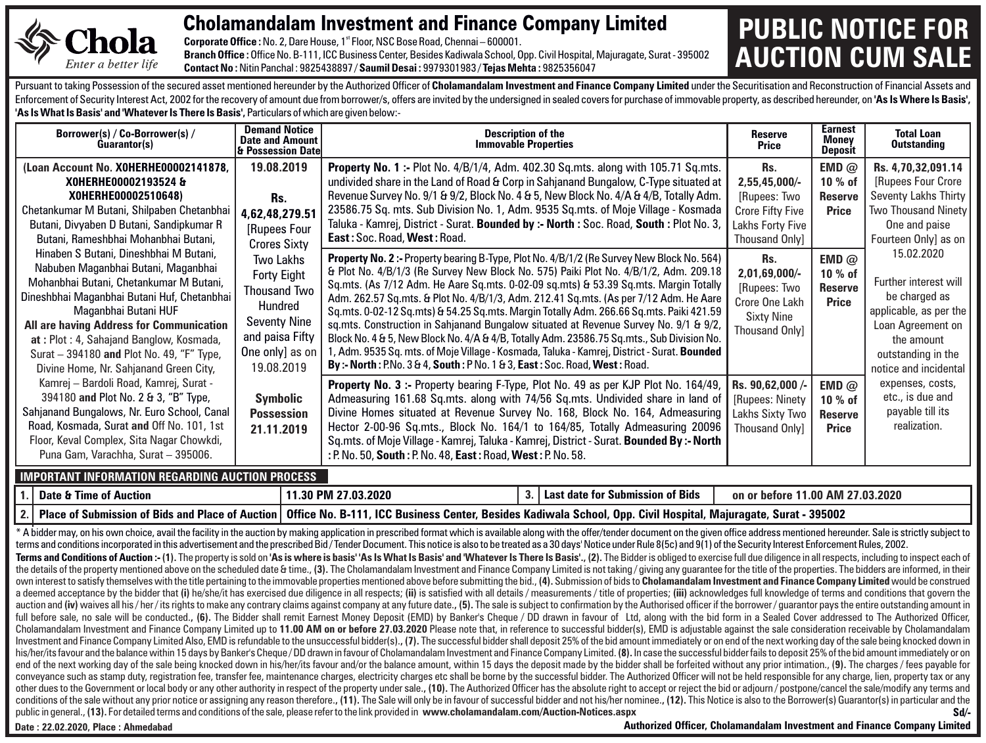

## Cholamandalam Investment and Finance Company Limited **PUBLIC NOTICE FOR**

**Corporate Office :** No. 2, Dare House, 1<sup>st</sup> Floor, NSC Bose Road, Chennai – 600001 Branch Office : Office No. B-111, ICC Business Center, Besides Kadiwala School, Opp. Civil Hospital, Majuragate, Surat - 395002 **Contact No :**Nitin Panchal : 9825438897 / **Saumil Desai :** 9979301983 / **Tejas Mehta :** 9825356047

## **AUCTION CUM SALE**

Pursuant to taking Possession of the secured asset mentioned hereunder by the Authorized Officer of Cholamandalam Investment and Finance Company Limited under the Securitisation and Reconstruction of Financial Assets and Enforcement of Security Interest Act, 2002 for the recovery of amount due from borrower/s, offers are invited by the undersigned in sealed covers for purchase of immovable property, as described hereunder, on 'As Is Where **'As Is What Is Basis' and 'Whatever Is There Is Basis',** Particulars of which are given below:-

| Borrower(s) / Co-Borrower(s) /<br>Guarantor(s)                                                                                                                                                                                                                                                                                                                                | <b>Demand Notice</b><br><b>Date and Amount</b><br>l& Possession Datel                                                                        | <b>Description of the</b><br><b>Immovable Properties</b>                                                                                                                                                                                                                                                                                                                                                                                                                                                                                                                                                                                                                                                                                                                                                                                                                                                                                    | <b>Reserve</b><br>Price                                                                                      | <b>Earnest</b><br>Monev<br>Deposit            | <b>Total Loan</b><br><b>Outstanding</b>                                                                                                                          |
|-------------------------------------------------------------------------------------------------------------------------------------------------------------------------------------------------------------------------------------------------------------------------------------------------------------------------------------------------------------------------------|----------------------------------------------------------------------------------------------------------------------------------------------|---------------------------------------------------------------------------------------------------------------------------------------------------------------------------------------------------------------------------------------------------------------------------------------------------------------------------------------------------------------------------------------------------------------------------------------------------------------------------------------------------------------------------------------------------------------------------------------------------------------------------------------------------------------------------------------------------------------------------------------------------------------------------------------------------------------------------------------------------------------------------------------------------------------------------------------------|--------------------------------------------------------------------------------------------------------------|-----------------------------------------------|------------------------------------------------------------------------------------------------------------------------------------------------------------------|
| (Loan Account No. XOHERHE00002141878,<br>XOHERHE00002193524 &<br>X0HERHE00002510648)<br>Chetankumar M Butani, Shilpaben Chetanbhai<br>Butani, Divyaben D Butani, Sandipkumar R<br>Butani, Rameshbhai Mohanbhai Butani,                                                                                                                                                        | 19.08.2019<br>Rs.<br>4.62.48.279.51<br>[Rupees Four<br><b>Crores Sixty</b>                                                                   | <b>Property No. 1:-</b> Plot No. 4/B/1/4, Adm. 402.30 Sq.mts. along with 105.71 Sq.mts.<br>undivided share in the Land of Road & Corp in Sahjanand Bungalow, C-Type situated at<br>Revenue Survey No. 9/1 & 9/2, Block No. 4 & 5, New Block No. 4/A & 4/B, Totally Adm.<br>23586.75 Sq. mts. Sub Division No. 1, Adm. 9535 Sq.mts. of Moje Village - Kosmada<br>Taluka - Kamrej, District - Surat. Bounded by :- North : Soc. Road, South : Plot No. 3,<br>East: Soc. Road, West: Road.                                                                                                                                                                                                                                                                                                                                                                                                                                                     | Rs.<br>2,55,45,000/-<br>[Rupees: Two<br><b>Crore Fifty Five</b><br>Lakhs Forty Five<br><b>Thousand Only1</b> | <b>EMD</b> $@$<br>10 % of<br>Reserve<br>Price | Rs. 4,70,32,091.14<br>[Rupees Four Crore]<br>Seventy Lakhs Thirty<br><b>Two Thousand Ninety</b><br>One and paise<br>Fourteen Only] as on                         |
| Hinaben S Butani, Dineshbhai M Butani,<br>Nabuben Maganbhai Butani, Maganbhai<br>Mohanbhai Butani, Chetankumar M Butani,<br>Dineshbhai Maganbhai Butani Huf, Chetanbhai<br>Maganbhai Butani HUF<br>All are having Address for Communication<br>at: Plot: 4, Sahajand Banglow, Kosmada,<br>Surat - 394180 and Plot No. 49, "F" Type,<br>Divine Home, Nr. Sahjanand Green City, | Two Lakhs<br><b>Forty Eight</b><br><b>Thousand Two</b><br>Hundred<br><b>Seventy Nine</b><br>and paisa Fifty<br>One only) as on<br>19.08.2019 | Property No. 2:- Property bearing B-Type, Plot No. 4/B/1/2 (Re Survey New Block No. 564)<br>Rs.<br>& Plot No. 4/B/1/3 (Re Survey New Block No. 575) Paiki Plot No. 4/B/1/2, Adm. 209.18<br>2,01,69,000/-<br>Sq.mts. (As 7/12 Adm. He Aare Sq.mts. 0-02-09 sq.mts) & 53.39 Sq.mts. Margin Totally<br>[Rupees: Two<br>Adm. 262.57 Sq.mts. & Plot No. 4/B/1/3, Adm. 212.41 Sq.mts. (As per 7/12 Adm. He Aare<br>Crore One Lakh<br>Sq.mts. 0-02-12 Sq.mts) & 54.25 Sq.mts. Margin Totally Adm. 266.66 Sq.mts. Paiki 421.59<br><b>Sixty Nine</b><br>sq.mts. Construction in Sahjanand Bungalow situated at Revenue Survey No. 9/1 & 9/2,<br><b>Thousand Only1</b><br>Block No. 4 & 5, New Block No. 4/A & 4/B, Totally Adm. 23586.75 Sq.mts., Sub Division No.<br>1, Adm. 9535 Sq. mts. of Moje Village - Kosmada, Taluka - Kamrej, District - Surat. <b>Bounded</b><br>By:-North: P.No. 3 & 4, South: P No. 1 & 3, East: Soc. Road, West: Road. |                                                                                                              | EMD $@$<br>10 % of<br>Reserve<br>Price        | 15.02.2020<br>Further interest will<br>be charged as<br>applicable, as per the<br>Loan Agreement on<br>the amount<br>outstanding in the<br>notice and incidental |
| Kamrej - Bardoli Road, Kamrej, Surat -<br>394180 and Plot No. 2 & 3, "B" Type,<br>Sahjanand Bungalows, Nr. Euro School, Canal<br>Road, Kosmada, Surat and Off No. 101, 1st<br>Floor, Keval Complex, Sita Nagar Chowkdi,<br>Puna Gam, Varachha, Surat - 395006.                                                                                                                | Symbolic<br><b>Possession</b><br>21.11.2019                                                                                                  | <b>Property No. 3:-</b> Property bearing F-Type, Plot No. 49 as per KJP Plot No. 164/49,<br>Admeasuring 161.68 Sq.mts. along with 74/56 Sq.mts. Undivided share in land of<br>Divine Homes situated at Revenue Survey No. 168, Block No. 164, Admeasuring<br>Hector 2-00-96 Sq.mts., Block No. 164/1 to 164/85, Totally Admeasuring 20096<br>Sq.mts. of Moje Village - Kamrej, Taluka - Kamrej, District - Surat. Bounded By :- North<br>: P. No. 50, South: P. No. 48, East: Road, West: P. No. 58.                                                                                                                                                                                                                                                                                                                                                                                                                                        | Rs. 90,62,000/-<br>[Rupees: Ninety<br>Lakhs Sixty Two<br><b>Thousand Only1</b>                               | EMD $@$<br>10 % of<br>Reserve<br>Price        | expenses, costs,<br>etc., is due and<br>payable till its<br>realization.                                                                                         |

| ∪ Date ∪<br>† Auction<br>. Time r                         | 03.2020.<br>` РIу.                                                                                                                                   |  | <b>Submission of Bids</b><br>патғ | 7.03.2020<br>nn<br>AN<br>on ol<br>. hetore |  |  |  |
|-----------------------------------------------------------|------------------------------------------------------------------------------------------------------------------------------------------------------|--|-----------------------------------|--------------------------------------------|--|--|--|
| <b>Place</b><br>Submission of Bids<br>of Auction :<br>and | Office No.<br>. ICC Business Center.<br>- 395002<br><b>Civil Hospita</b><br><b>B-111</b><br>. Besides Kadiwala School. Opp. I<br>. Maiuragate, Surat |  |                                   |                                            |  |  |  |

**Sd/-** \* A bidder may, on his own choice, avail the facility in the auction by making application in prescribed format which is available along with the offer/tender document on the given office address mentioned hereunder. Sale terms and conditions incorporated in this advertisement and the prescribed Bid/Tender Document. This notice is also to be treated as a 30 days' Notice under Rule 8(5c) and 9(1) of the Security Interest Enforcement Rules, 2 Terms and Conditions of Auction:- (1). The property is sold on 'As is where is basis' 'As Is What Is Basis' and 'Whatever Is There Is Basis'.. (2). The Bidder is obliged to exercise full due diligence in all respects, incl the details of the property mentioned above on the scheduled date & time., (3). The Cholamandalam Investment and Finance Company Limited is not taking/giving any guarantee for the title of the properties. The bidders are i own interest to satisfy themselves with the title pertaining to the immovable properties mentioned above before submitting the bid., (4). Submission of bids to Cholamandalam Investment and Finance Company Limited would be a deemed acceptance by the bidder that (i) he/she/it has exercised due diligence in all respects; (ii) is satisfied with all details / measurements / title of properties; (iii) acknowledges full knowledge of terms and cond auction and (iv) waives all his/her/its rights to make any contrary claims against company at any future date.. (5). The sale is subiect to confirmation by the Authorised officer if the borrower/quarantor pays the entire o full before sale, no sale will be conducted., (6). The Bidder shall remit Earnest Money Deposit (EMD) by Banker's Cheque / DD drawn in fayour of Ltd, along with the bid form in a Sealed Cover addressed to The Authorized Of Cholamandalam Investment and Finance Company Limited up to 11.00 AM on or before 27.03.2020 Please note that, in reference to successful bidder(s), EMD is adjustable against the sale consideration receivable by Cholamandal Investment and Finance Company Limited Also, EMD is refundable to the unsuccessful bidder(s)., (7). The successful bidder shall deposit 25% of the bid amount immediately or on end of the next working day of the sale being his/her/its fayour and the balance within 15 days by Banker's Cheque / DD drawn in fayour of Cholamandalam Investment and Finance Company Limited. (8). In case the successful bidder fails to deposit 25% of the bid amount i end of the next working day of the sale being knocked down in his/her/its favour and/or the balance amount, within 15 days the deposit made by the bidder shall be forfeited without any prior intimation., (9). The charges / conveyance such as stamp duty, registration fee, transfer fee, maintenance charges, electricity charges etc shall be borne by the successful bidder. The Authorized Officer will not be held responsible for any charge, lien, other dues to the Government or local body or any other authority in respect of the property under sale., (10). The Authorized Officer has the absolute right to accept or reject the bid or adjourn / postpone/cancel the sal conditions of the sale without any prior notice or assigning any reason therefore.. (11). The Sale will only be in fayour of successful bidder and not his/her nominee.. (12). This Notice is also to the Borrower(s) Guaranto public in general., **(13).** For detailed terms and conditions of the sale, please refer to the link provided in **www.cholamandalam.com/Auction-Notices.aspx**

**Date : 22.02.2020, Place : Ahmedabad**

**Authorized Officer, Cholamandalam Investment and Finance Company Limited**